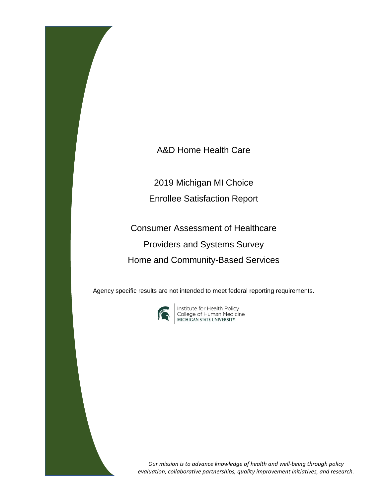A&D Home Health Care

2019 Michigan MI Choice

Enrollee Satisfaction Report

Consumer Assessment of Healthcare Providers and Systems Survey Home and Community-Based Services

Agency specific results are not intended to meet federal reporting requirements.



**Institute for Health Policy<br>College of Human Medicine<br>MICHIGAN STATE UNIVERSITY** 

*Our mission is to advance knowledge of health and well-being through policy evaluation, collaborative partnerships, quality improvement initiatives, and research.*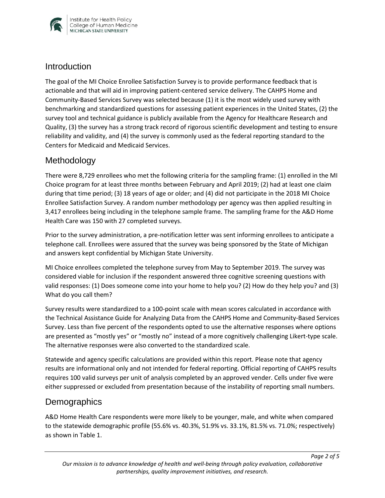

#### **Introduction**

The goal of the MI Choice Enrollee Satisfaction Survey is to provide performance feedback that is actionable and that will aid in improving patient-centered service delivery. The CAHPS Home and Community-Based Services Survey was selected because (1) it is the most widely used survey with benchmarking and standardized questions for assessing patient experiences in the United States, (2) the survey tool and technical guidance is publicly available from the Agency for Healthcare Research and Quality, (3) the survey has a strong track record of rigorous scientific development and testing to ensure reliability and validity, and (4) the survey is commonly used as the federal reporting standard to the Centers for Medicaid and Medicaid Services.

## Methodology

There were 8,729 enrollees who met the following criteria for the sampling frame: (1) enrolled in the MI Choice program for at least three months between February and April 2019; (2) had at least one claim during that time period; (3) 18 years of age or older; and (4) did not participate in the 2018 MI Choice Enrollee Satisfaction Survey. A random number methodology per agency was then applied resulting in 3,417 enrollees being including in the telephone sample frame. The sampling frame for the A&D Home Health Care was 150 with 27 completed surveys.

Prior to the survey administration, a pre-notification letter was sent informing enrollees to anticipate a telephone call. Enrollees were assured that the survey was being sponsored by the State of Michigan and answers kept confidential by Michigan State University.

MI Choice enrollees completed the telephone survey from May to September 2019. The survey was considered viable for inclusion if the respondent answered three cognitive screening questions with valid responses: (1) Does someone come into your home to help you? (2) How do they help you? and (3) What do you call them?

Survey results were standardized to a 100-point scale with mean scores calculated in accordance with the Technical Assistance Guide for Analyzing Data from the CAHPS Home and Community-Based Services Survey. Less than five percent of the respondents opted to use the alternative responses where options are presented as "mostly yes" or "mostly no" instead of a more cognitively challenging Likert-type scale. The alternative responses were also converted to the standardized scale.

Statewide and agency specific calculations are provided within this report. Please note that agency results are informational only and not intended for federal reporting. Official reporting of CAHPS results requires 100 valid surveys per unit of analysis completed by an approved vender. Cells under five were either suppressed or excluded from presentation because of the instability of reporting small numbers.

## **Demographics**

A&D Home Health Care respondents were more likely to be younger, male, and white when compared to the statewide demographic profile (55.6% vs. 40.3%, 51.9% vs. 33.1%, 81.5% vs. 71.0%; respectively) as shown in Table 1.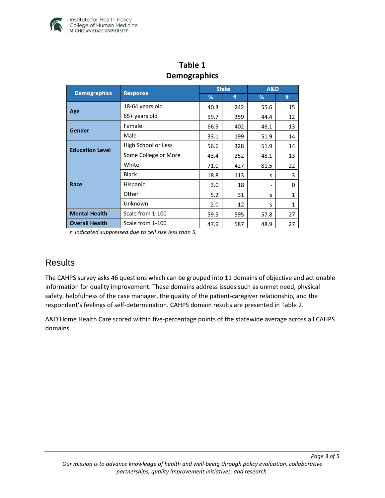

| Delliographics         |                      |              |     |                |              |  |  |  |
|------------------------|----------------------|--------------|-----|----------------|--------------|--|--|--|
|                        | <b>Response</b>      | <b>State</b> |     | <b>A&amp;D</b> |              |  |  |  |
| <b>Demographics</b>    |                      | %            | #   | %              | #            |  |  |  |
| Age                    | 18-64 years old      | 40.3         | 242 | 55.6           | 15           |  |  |  |
|                        | 65+ years old        | 59.7         | 359 | 44.4           | 12           |  |  |  |
| Gender                 | Female               | 66.9         | 402 | 48.1           | 13           |  |  |  |
|                        | Male                 | 33.1         | 199 | 51.9           | 14           |  |  |  |
| <b>Education Level</b> | High School or Less  | 56.6         | 328 | 51.9           | 14           |  |  |  |
|                        | Some College or More | 43.4         | 252 | 48.1           | 13           |  |  |  |
| Race                   | White                | 71.0         | 427 | 81.5           | 22           |  |  |  |
|                        | <b>Black</b>         | 18.8         | 113 | S              | 3            |  |  |  |
|                        | Hispanic             | 3.0          | 18  |                | 0            |  |  |  |
|                        | Other                | 5.2          | 31  | S              | $\mathbf{1}$ |  |  |  |
|                        | Unknown              | 2.0          | 12  | S              | $\mathbf{1}$ |  |  |  |
| <b>Mental Health</b>   | Scale from 1-100     | 59.5         | 595 | 57.8           | 27           |  |  |  |
| <b>Overall Health</b>  | Scale from 1-100     | 47.9         | 587 | 48.9           | 27           |  |  |  |

# **Table 1 Demographics**

*'s' indicated suppressed due to cell size less than 5.* 

#### **Results**

The CAHPS survey asks 46 questions which can be grouped into 11 domains of objective and actionable information for quality improvement. These domains address issues such as unmet need, physical safety, helpfulness of the case manager, the quality of the patient-caregiver relationship, and the respondent's feelings of self-determination. CAHPS domain results are presented in Table 2.

A&D Home Health Care scored within five-percentage points of the statewide average across all CAHPS domains.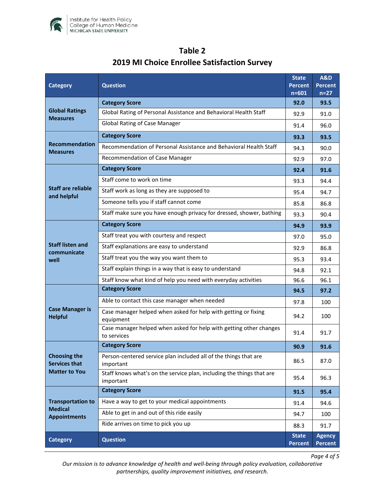

| <b>Category</b>                                                     | <b>Question</b>                                                                    |                                | <b>A&amp;D</b><br><b>Percent</b><br>$n=27$ |
|---------------------------------------------------------------------|------------------------------------------------------------------------------------|--------------------------------|--------------------------------------------|
| <b>Global Ratings</b><br><b>Measures</b>                            | <b>Category Score</b>                                                              | 92.0                           | 93.5                                       |
|                                                                     | Global Rating of Personal Assistance and Behavioral Health Staff                   | 92.9                           | 91.0                                       |
|                                                                     | <b>Global Rating of Case Manager</b>                                               | 91.4                           | 96.0                                       |
| <b>Recommendation</b><br><b>Measures</b>                            | <b>Category Score</b>                                                              | 93.3                           | 93.5                                       |
|                                                                     | Recommendation of Personal Assistance and Behavioral Health Staff                  | 94.3                           | 90.0                                       |
|                                                                     | Recommendation of Case Manager                                                     | 92.9                           | 97.0                                       |
| <b>Staff are reliable</b><br>and helpful                            | <b>Category Score</b>                                                              | 92.4                           | 91.6                                       |
|                                                                     | Staff come to work on time                                                         | 93.3                           | 94.4                                       |
|                                                                     | Staff work as long as they are supposed to                                         | 95.4                           | 94.7                                       |
|                                                                     | Someone tells you if staff cannot come                                             | 85.8                           | 86.8                                       |
|                                                                     | Staff make sure you have enough privacy for dressed, shower, bathing               | 93.3                           | 90.4                                       |
|                                                                     | <b>Category Score</b>                                                              | 94.9                           | 93.9                                       |
|                                                                     | Staff treat you with courtesy and respect                                          | 97.0                           | 95.0                                       |
| <b>Staff listen and</b><br>communicate<br>well                      | Staff explanations are easy to understand                                          | 92.9                           | 86.8                                       |
|                                                                     | Staff treat you the way you want them to                                           | 95.3                           | 93.4                                       |
|                                                                     | Staff explain things in a way that is easy to understand                           | 94.8                           | 92.1                                       |
|                                                                     | Staff know what kind of help you need with everyday activities                     | 96.6                           | 96.1                                       |
|                                                                     | <b>Category Score</b>                                                              | 94.5                           | 97.2                                       |
| <b>Case Manager is</b><br><b>Helpful</b>                            | Able to contact this case manager when needed                                      | 97.8                           | 100                                        |
|                                                                     | Case manager helped when asked for help with getting or fixing<br>equipment        | 94.2                           | 100                                        |
|                                                                     | Case manager helped when asked for help with getting other changes<br>to services  | 91.4                           | 91.7                                       |
| <b>Choosing the</b><br><b>Services that</b><br><b>Matter to You</b> | <b>Category Score</b>                                                              | 90.9                           | 91.6                                       |
|                                                                     | Person-centered service plan included all of the things that are<br>important      | 86.5                           | 87.0                                       |
|                                                                     | Staff knows what's on the service plan, including the things that are<br>important | 95.4                           | 96.3                                       |
| <b>Transportation to</b><br><b>Medical</b><br><b>Appointments</b>   | <b>Category Score</b>                                                              | 91.5                           | 95.4                                       |
|                                                                     | Have a way to get to your medical appointments                                     | 91.4                           | 94.6                                       |
|                                                                     | Able to get in and out of this ride easily                                         | 94.7                           | 100                                        |
|                                                                     | Ride arrives on time to pick you up                                                | 88.3                           | 91.7                                       |
| <b>Category</b>                                                     | <b>Question</b>                                                                    | <b>State</b><br><b>Percent</b> | <b>Agency</b><br><b>Percent</b>            |

# **Table 2 2019 MI Choice Enrollee Satisfaction Survey**

*Our mission is to advance knowledge of health and well-being through policy evaluation, collaborative partnerships, quality improvement initiatives, and research.*